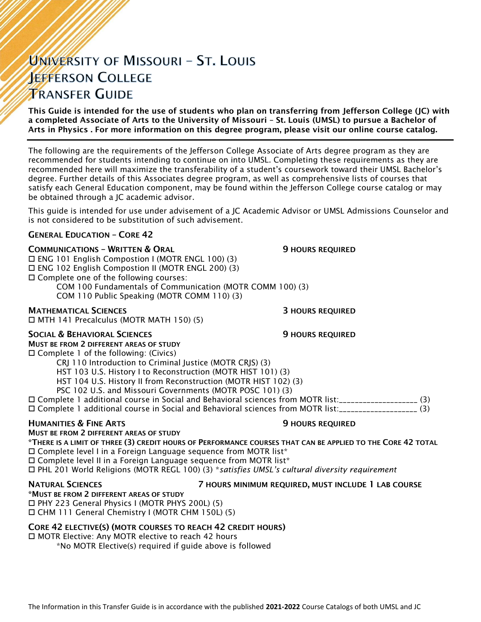# UNIVERSITY OF MISSOURI - ST. LOUIS **JEFFERSON COLLEGE TRANSFER GUIDE**

This Guide is intended for the use of students who plan on transferring from Jefferson College (JC) with a completed Associate of Arts to the University of Missouri – St. Louis (UMSL) to pursue a Bachelor of Arts in Physics . For more information on this degree program, please visit our online course catalog.

The following are the requirements of the Jefferson College Associate of Arts degree program as they are recommended for students intending to continue on into UMSL. Completing these requirements as they are recommended here will maximize the transferability of a student's coursework toward their UMSL Bachelor's degree. Further details of this Associates degree program, as well as comprehensive lists of courses that satisfy each General Education component, may be found within the Jefferson College course catalog or may be obtained through a JC academic advisor.

This guide is intended for use under advisement of a JC Academic Advisor or UMSL Admissions Counselor and is not considered to be substitution of such advisement.

### GENERAL EDUCATION – CORE 42

### **COMMUNICATIONS - WRITTEN & ORAL 50 COMMUNICATIONS - WRITTEN & ORAL 50 MILLS**

 ENG 101 English Compostion I (MOTR ENGL 100) (3) ENG 102 English Compostion II (MOTR ENGL 200) (3) Complete one of the following courses:

COM 100 Fundamentals of Communication (MOTR COMM 100) (3)

COM 110 Public Speaking (MOTR COMM 110) (3)

### MATHEMATICAL SCIENCES 3 HOURS REQUIRED

MTH 141 Precalculus (MOTR MATH 150) (5)

### SOCIAL & BEHAVIORAL SCIENCES **19 SOCIAL ALCORATIVE SECUPIER SOCIAL AREA**

MUST BE FROM 2 DIFFERENT AREAS OF STUDY

 $\square$  Complete 1 of the following: (Civics)

CRJ 110 Introduction to Criminal Justice (MOTR CRJS) (3)

HST 103 U.S. History I to Reconstruction (MOTR HIST 101) (3)

HST 104 U.S. History II from Reconstruction (MOTR HIST 102) (3)

PSC 102 U.S. and Missouri Governments (MOTR POSC 101) (3)

Complete 1 additional course in Social and Behavioral sciences from MOTR list:\_\_\_\_\_\_\_\_\_\_\_\_\_\_\_\_\_\_\_\_ (3)

Complete 1 additional course in Social and Behavioral sciences from MOTR list:\_\_\_\_\_\_\_\_\_\_\_\_\_\_\_\_\_\_\_\_ (3)

### **HUMANITIES & FINE ARTS 19 ACCESS 20 HOURS REQUIRED** MUST BE FROM 2 DIFFERENT AREAS OF STUDY

\*THERE IS A LIMIT OF THREE (3) CREDIT HOURS OF PERFORMANCE COURSES THAT CAN BE APPLIED TO THE CORE 42 TOTAL  $\Box$  Complete level I in a Foreign Language sequence from MOTR list\*

□ Complete level II in a Foreign Language sequence from MOTR list\*

PHL 201 World Religions (MOTR REGL 100) (3) \**satisfies UMSL's cultural diversity requirement*

### NATURAL SCIENCES 7 HOURS MINIMUM REQUIRED, MUST INCLUDE 1 LAB COURSE

\*MUST BE FROM 2 DIFFERENT AREAS OF STUDY PHY 223 General Physics I (MOTR PHYS 200L) (5) CHM 111 General Chemistry I (MOTR CHM 150L) (5)

### CORE 42 ELECTIVE(S) (MOTR COURSES TO REACH 42 CREDIT HOURS)

□ MOTR Elective: Any MOTR elective to reach 42 hours

\*No MOTR Elective(s) required if guide above is followed